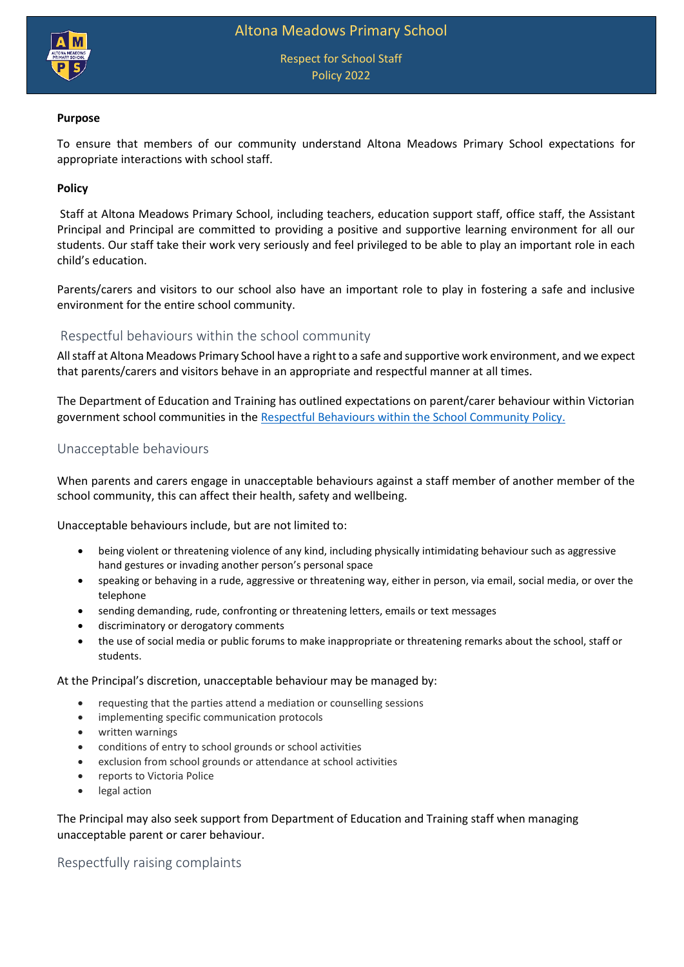

Respect for School Staff Policy 2022

#### **Purpose**

To ensure that members of our community understand Altona Meadows Primary School expectations for appropriate interactions with school staff.

## **Policy**

Staff at Altona Meadows Primary School, including teachers, education support staff, office staff, the Assistant Principal and Principal are committed to providing a positive and supportive learning environment for all our students. Our staff take their work very seriously and feel privileged to be able to play an important role in each child's education.

Parents/carers and visitors to our school also have an important role to play in fostering a safe and inclusive environment for the entire school community.

# Respectful behaviours within the school community

All staff at Altona Meadows Primary School have a right to a safe and supportive work environment, and we expect that parents/carers and visitors behave in an appropriate and respectful manner at all times.

The Department of Education and Training has outlined expectations on parent/carer behaviour within Victorian government school communities in the [Respectful Behaviours within the School Community Policy.](https://www.education.vic.gov.au/Pages/Respectful-Behaviours-within-the-School-Community-Policy.aspx)

## Unacceptable behaviours

When parents and carers engage in unacceptable behaviours against a staff member of another member of the school community, this can affect their health, safety and wellbeing.

Unacceptable behaviours include, but are not limited to:

- being violent or threatening violence of any kind, including physically intimidating behaviour such as aggressive hand gestures or invading another person's personal space
- speaking or behaving in a rude, aggressive or threatening way, either in person, via email, social media, or over the telephone
- sending demanding, rude, confronting or threatening letters, emails or text messages
- discriminatory or derogatory comments
- the use of social media or public forums to make inappropriate or threatening remarks about the school, staff or students.

#### At the Principal's discretion, unacceptable behaviour may be managed by:

- requesting that the parties attend a mediation or counselling sessions
- implementing specific communication protocols
- written warnings
- conditions of entry to school grounds or school activities
- exclusion from school grounds or attendance at school activities
- reports to Victoria Police
- legal action

The Principal may also seek support from Department of Education and Training staff when managing unacceptable parent or carer behaviour.

Respectfully raising complaints